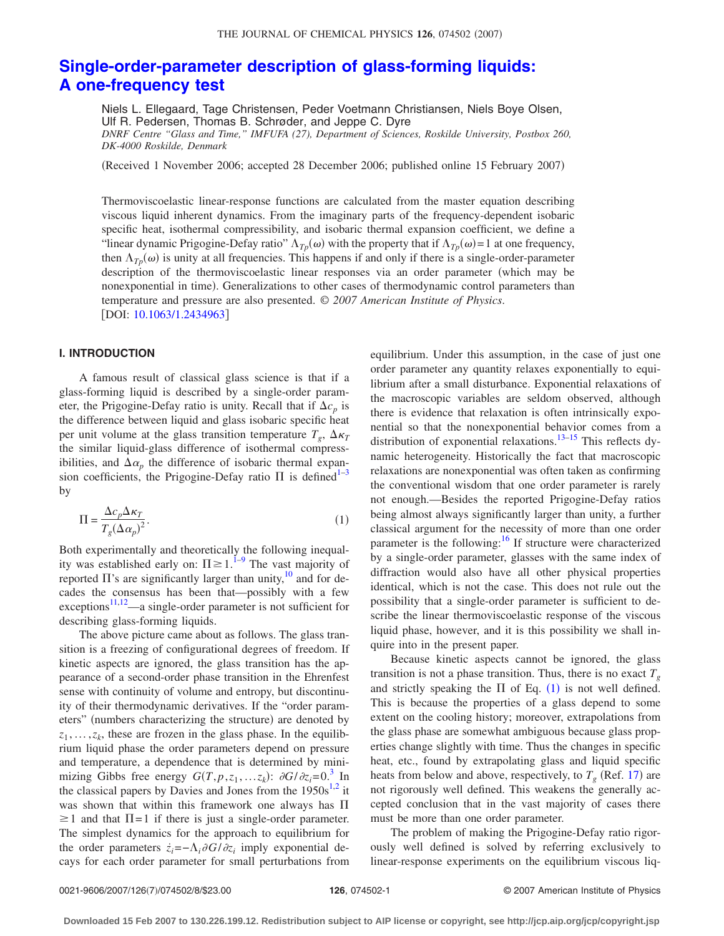# **[Single-order-parameter description of glass-forming liquids:](http://dx.doi.org/10.1063/1.2434963) [A one-frequency test](http://dx.doi.org/10.1063/1.2434963)**

Niels L. Ellegaard, Tage Christensen, Peder Voetmann Christiansen, Niels Boye Olsen, Ulf R. Pedersen, Thomas B. Schrøder, and Jeppe C. Dyre *DNRF Centre "Glass and Time," IMFUFA (27), Department of Sciences, Roskilde University, Postbox 260, DK-4000 Roskilde, Denmark*

(Received 1 November 2006; accepted 28 December 2006; published online 15 February 2007)

Thermoviscoelastic linear-response functions are calculated from the master equation describing viscous liquid inherent dynamics. From the imaginary parts of the frequency-dependent isobaric specific heat, isothermal compressibility, and isobaric thermal expansion coefficient, we define a "linear dynamic Prigogine-Defay ratio"  $\Lambda_{T_p}(\omega)$  with the property that if  $\Lambda_{T_p}(\omega) = 1$  at one frequency, then  $\Lambda_{T_p}(\omega)$  is unity at all frequencies. This happens if and only if there is a single-order-parameter description of the thermoviscoelastic linear responses via an order parameter (which may be nonexponential in time). Generalizations to other cases of thermodynamic control parameters than temperature and pressure are also presented. © *2007 American Institute of Physics*. [DOI: [10.1063/1.2434963](http://dx.doi.org/10.1063/1.2434963)]

# **I. INTRODUCTION**

A famous result of classical glass science is that if a glass-forming liquid is described by a single-order parameter, the Prigogine-Defay ratio is unity. Recall that if  $\Delta c_p$  is the difference between liquid and glass isobaric specific heat per unit volume at the glass transition temperature  $T_g$ ,  $\Delta \kappa_T$ the similar liquid-glass difference of isothermal compressibilities, and  $\Delta \alpha_n$  the difference of isobaric thermal expansion coefficients, the Prigogine-Defay ratio  $\Pi$  is defined<sup>1-[3](#page-7-1)</sup> by

<span id="page-0-0"></span>
$$
\Pi = \frac{\Delta c_p \Delta \kappa_T}{T_s (\Delta \alpha_p)^2}.
$$
\n(1)

Both experimentally and theoretically the following inequality was established early on:  $\Pi \ge 1$ .<sup>1–[9](#page-7-2)</sup> The vast majority of reported  $\Pi$ 's are significantly larger than unity,  $^{10}$  and for decades the consensus has been that—possibly with a few exceptions $11,12$ —a single-order parameter is not sufficient for describing glass-forming liquids.

The above picture came about as follows. The glass transition is a freezing of configurational degrees of freedom. If kinetic aspects are ignored, the glass transition has the appearance of a second-order phase transition in the Ehrenfest sense with continuity of volume and entropy, but discontinuity of their thermodynamic derivatives. If the "order parameters" (numbers characterizing the structure) are denoted by  $z_1, \ldots, z_k$ , these are frozen in the glass phase. In the equilibrium liquid phase the order parameters depend on pressure and temperature, a dependence that is determined by minimizing Gibbs free energy  $G(T, p, z_1, \ldots z_k)$ :  $\partial G/\partial z_i = 0$ .<sup>3</sup> In the classical papers by Davies and Jones from the  $1950s^{1,2}$  $1950s^{1,2}$  $1950s^{1,2}$  it was shown that within this framework one always has  $\Pi$  $\geq 1$  and that  $\Pi = 1$  if there is just a single-order parameter. The simplest dynamics for the approach to equilibrium for the order parameters  $\dot{z}_i = -\Lambda_i \partial G / \partial z_i$  imply exponential decays for each order parameter for small perturbations from equilibrium. Under this assumption, in the case of just one order parameter any quantity relaxes exponentially to equilibrium after a small disturbance. Exponential relaxations of the macroscopic variables are seldom observed, although there is evidence that relaxation is often intrinsically exponential so that the nonexponential behavior comes from a distribution of exponential relaxations.<sup>13–[15](#page-7-8)</sup> This reflects dynamic heterogeneity. Historically the fact that macroscopic relaxations are nonexponential was often taken as confirming the conventional wisdom that one order parameter is rarely not enough.—Besides the reported Prigogine-Defay ratios being almost always significantly larger than unity, a further classical argument for the necessity of more than one order parameter is the following: $16$  If structure were characterized by a single-order parameter, glasses with the same index of diffraction would also have all other physical properties identical, which is not the case. This does not rule out the possibility that a single-order parameter is sufficient to describe the linear thermoviscoelastic response of the viscous liquid phase, however, and it is this possibility we shall inquire into in the present paper.

Because kinetic aspects cannot be ignored, the glass transition is not a phase transition. Thus, there is no exact  $T_g$ and strictly speaking the  $\Pi$  of Eq. ([1](#page-0-0)) is not well defined. This is because the properties of a glass depend to some extent on the cooling history; moreover, extrapolations from the glass phase are somewhat ambiguous because glass properties change slightly with time. Thus the changes in specific heat, etc., found by extrapolating glass and liquid specific heats from below and above, respectively, to  $T<sub>g</sub>$  (Ref. [17](#page-7-10)) are not rigorously well defined. This weakens the generally accepted conclusion that in the vast majority of cases there must be more than one order parameter.

The problem of making the Prigogine-Defay ratio rigorously well defined is solved by referring exclusively to linear-response experiments on the equilibrium viscous liq-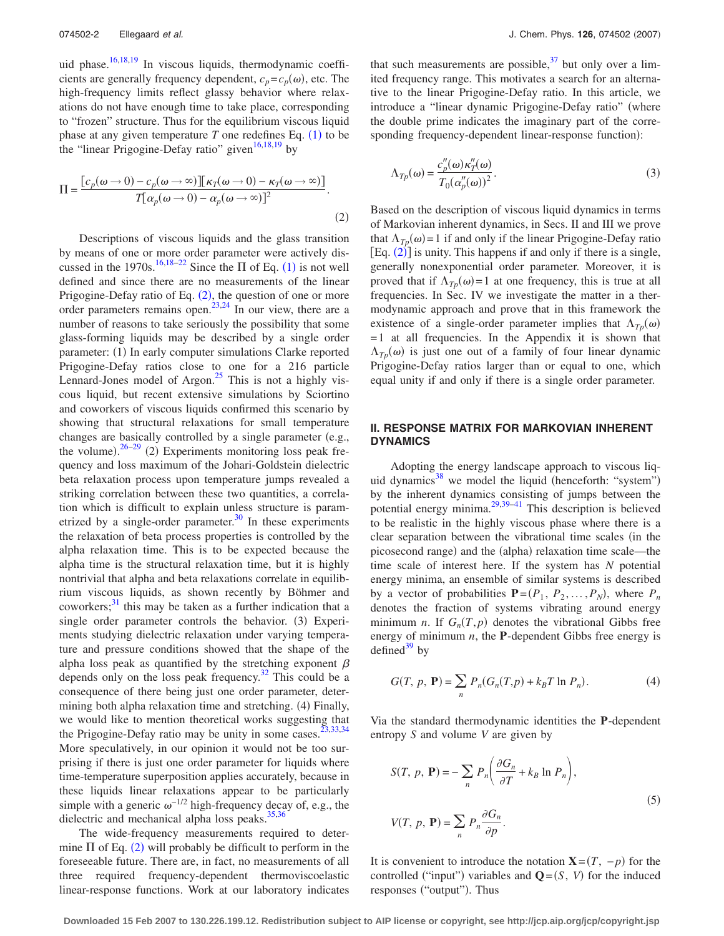uid phase. $16,18,19$  $16,18,19$  $16,18,19$  In viscous liquids, thermodynamic coefficients are generally frequency dependent,  $c_p = c_p(\omega)$ , etc. The high-frequency limits reflect glassy behavior where relaxations do not have enough time to take place, corresponding to "frozen" structure. Thus for the equilibrium viscous liquid phase at any given temperature  $T$  one redefines Eq.  $(1)$  $(1)$  $(1)$  to be the "linear Prigogine-Defay ratio" given  $16,18,19$  $16,18,19$  $16,18,19$  by

<span id="page-1-0"></span>
$$
\Pi = \frac{[c_p(\omega \to 0) - c_p(\omega \to \infty)][\kappa_T(\omega \to 0) - \kappa_T(\omega \to \infty)]}{T[\alpha_p(\omega \to 0) - \alpha_p(\omega \to \infty)]^2}.
$$
\n(2)

Descriptions of viscous liquids and the glass transition by means of one or more order parameter were actively dis-cussed in the [1](#page-0-0)970s.  $16,18-22$  $16,18-22$  $16,18-22$  Since the  $\Pi$  of Eq. (1) is not well defined and since there are no measurements of the linear Prigogine-Defay ratio of Eq.  $(2)$  $(2)$  $(2)$ , the question of one or more order parameters remains open.<sup>23,[24](#page-7-15)</sup> In our view, there are a number of reasons to take seriously the possibility that some glass-forming liquids may be described by a single order parameter: (1) In early computer simulations Clarke reported Prigogine-Defay ratios close to one for a 216 particle Lennard-Jones model of Argon.<sup>25</sup> This is not a highly viscous liquid, but recent extensive simulations by Sciortino and coworkers of viscous liquids confirmed this scenario by showing that structural relaxations for small temperature changes are basically controlled by a single parameter  $(e.g.,)$ the volume).  $26-29$  $26-29$  (2) Experiments monitoring loss peak frequency and loss maximum of the Johari-Goldstein dielectric beta relaxation process upon temperature jumps revealed a striking correlation between these two quantities, a correlation which is difficult to explain unless structure is parametrized by a single-order parameter.<sup>30</sup> In these experiments the relaxation of beta process properties is controlled by the alpha relaxation time. This is to be expected because the alpha time is the structural relaxation time, but it is highly nontrivial that alpha and beta relaxations correlate in equilibrium viscous liquids, as shown recently by Böhmer and coworkers; $3<sup>1</sup>$  this may be taken as a further indication that a single order parameter controls the behavior. (3) Experiments studying dielectric relaxation under varying temperature and pressure conditions showed that the shape of the alpha loss peak as quantified by the stretching exponent  $\beta$ depends only on the loss peak frequency.<sup>32</sup> This could be a consequence of there being just one order parameter, determining both alpha relaxation time and stretching. (4) Finally, we would like to mention theoretical works suggesting that the Prigogine-Defay ratio may be unity in some cases.<sup>2</sup> More speculatively, in our opinion it would not be too surprising if there is just one order parameter for liquids where time-temperature superposition applies accurately, because in these liquids linear relaxations appear to be particularly simple with a generic  $\omega^{-1/2}$  high-frequency decay of, e.g., the dielectric and mechanical alpha loss peaks. $35,36$  $35,36$ 

The wide-frequency measurements required to determine  $\Pi$  of Eq. ([2](#page-1-0)) will probably be difficult to perform in the foreseeable future. There are, in fact, no measurements of all three required frequency-dependent thermoviscoelastic linear-response functions. Work at our laboratory indicates that such measurements are possible,  $37$  but only over a limited frequency range. This motivates a search for an alternative to the linear Prigogine-Defay ratio. In this article, we introduce a "linear dynamic Prigogine-Defay ratio" (where the double prime indicates the imaginary part of the corresponding frequency-dependent linear-response function):

<span id="page-1-3"></span>
$$
\Lambda_{Tp}(\omega) = \frac{c_p''(\omega)\kappa_T''(\omega)}{T_0(\alpha_p''(\omega))^2}.
$$
\n(3)

Based on the description of viscous liquid dynamics in terms of Markovian inherent dynamics, in Secs. II and III we prove that  $\Lambda_{T_p}(\omega) = 1$  if and only if the linear Prigogine-Defay ratio  $[Eq. (2)]$  $[Eq. (2)]$  $[Eq. (2)]$  is unity. This happens if and only if there is a single, generally nonexponential order parameter. Moreover, it is proved that if  $\Lambda_{T_p}(\omega) = 1$  at one frequency, this is true at all frequencies. In Sec. IV we investigate the matter in a thermodynamic approach and prove that in this framework the existence of a single-order parameter implies that  $\Lambda_{T_p}(\omega)$  $= 1$  at all frequencies. In the Appendix it is shown that  $\Lambda_{T_p}(\omega)$  is just one out of a family of four linear dynamic Prigogine-Defay ratios larger than or equal to one, which equal unity if and only if there is a single order parameter.

## **II. RESPONSE MATRIX FOR MARKOVIAN INHERENT DYNAMICS**

Adopting the energy landscape approach to viscous liquid dynamics<sup>38</sup> we model the liquid (henceforth: "system") by the inherent dynamics consisting of jumps between the potential energy minima. $29,39-41$  $29,39-41$  $29,39-41$  This description is believed to be realistic in the highly viscous phase where there is a clear separation between the vibrational time scales (in the picosecond range) and the (alpha) relaxation time scale—the time scale of interest here. If the system has *N* potential energy minima, an ensemble of similar systems is described by a vector of probabilities  $P = (P_1, P_2, \dots, P_N)$ , where  $P_n$ denotes the fraction of systems vibrating around energy minimum *n*. If  $G_n(T, p)$  denotes the vibrational Gibbs free energy of minimum *n*, the **P**-dependent Gibbs free energy is defined $39$  by

<span id="page-1-1"></span>
$$
G(T, p, \mathbf{P}) = \sum_{n} P_n(G_n(T, p) + k_B T \ln P_n). \tag{4}
$$

Via the standard thermodynamic identities the **P**-dependent entropy *S* and volume *V* are given by

<span id="page-1-2"></span>
$$
S(T, p, \mathbf{P}) = -\sum_{n} P_{n} \left( \frac{\partial G_{n}}{\partial T} + k_{B} \ln P_{n} \right),
$$
  

$$
V(T, p, \mathbf{P}) = \sum_{n} P_{n} \frac{\partial G_{n}}{\partial p}.
$$
 (5)

It is convenient to introduce the notation  $X = (T, -p)$  for the controlled ("input") variables and  $Q = (S, V)$  for the induced responses ("output"). Thus

**Downloaded 15 Feb 2007 to 130.226.199.12. Redistribution subject to AIP license or copyright, see http://jcp.aip.org/jcp/copyright.jsp**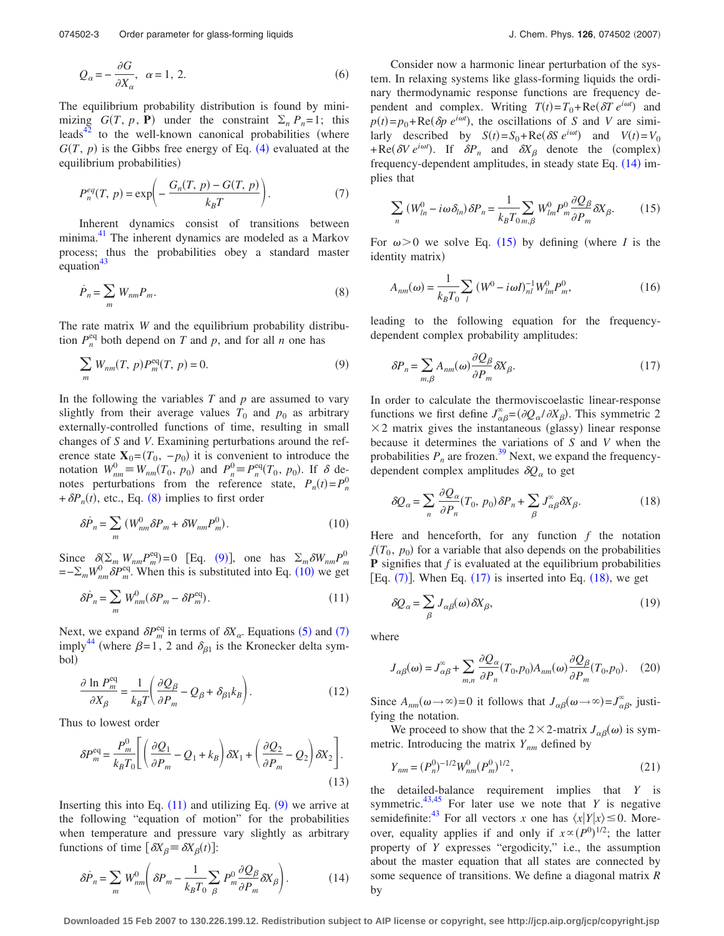$$
Q_{\alpha} = -\frac{\partial G}{\partial X_{\alpha}}, \ \alpha = 1, 2. \tag{6}
$$

The equilibrium probability distribution is found by minimizing  $G(T, p, \mathbf{P})$  under the constraint  $\sum_{n} P_n = 1$ ; this leads $42$  to the well-known canonical probabilities (where  $G(T, p)$  is the Gibbs free energy of Eq. ([4](#page-1-1)) evaluated at the equilibrium probabilities)

<span id="page-2-3"></span>
$$
P_n^{eq}(T, p) = \exp\left(-\frac{G_n(T, p) - G(T, p)}{k_B T}\right).
$$
 (7)

Inherent dynamics consist of transitions between minima.<sup>41</sup> The inherent dynamics are modeled as a Markov process; thus the probabilities obey a standard master equation $43$ 

<span id="page-2-0"></span>
$$
\dot{P}_n = \sum_m W_{nm} P_m. \tag{8}
$$

The rate matrix *W* and the equilibrium probability distribution  $P_n^{\text{eq}}$  both depend on *T* and *p*, and for all *n* one has

<span id="page-2-1"></span>
$$
\sum_{m} W_{nm}(T, p) P_{m}^{\text{eq}}(T, p) = 0.
$$
 (9)

In the following the variables  $T$  and  $p$  are assumed to vary slightly from their average values  $T_0$  and  $p_0$  as arbitrary externally-controlled functions of time, resulting in small changes of *S* and *V*. Examining perturbations around the reference state  $X_0 = (T_0, -p_0)$  it is convenient to introduce the notation  $W_{nm}^0 \equiv W_{nm}(T_0, p_0)$  and  $P_n^0 \equiv P_n^{\text{eq}}(T_0, p_0)$ . If  $\delta$  denotes perturbations from the reference state,  $P_n(t) = P_n^0$  $+\delta P_n(t)$ , etc., Eq. ([8](#page-2-0)) implies to first order

<span id="page-2-2"></span>
$$
\delta \dot{P}_n = \sum_m \left( W_{nm}^0 \delta P_m + \delta W_{nm} P_m^0 \right). \tag{10}
$$

Since  $\delta(\Sigma_m W_{nm} P_m^{\text{eq}}) = 0$  [Eq. ([9](#page-2-1))], one has  $\Sigma_m \delta W_{nm} P_m^0$  $=-\sum_m W_{nm}^0 \delta P_m^{\text{eq}}$ . When this is substituted into Eq. ([10](#page-2-2)) we get

<span id="page-2-4"></span>
$$
\delta \dot{P}_n = \sum_m W_{nm}^0 (\delta P_m - \delta P_m^{\text{eq}}). \tag{11}
$$

Next, we expand  $\delta P_m^{\text{eq}}$  in terms of  $\delta X_\alpha$ . Equations ([5](#page-1-2)) and ([7](#page-2-3)) imply<sup>44</sup> (where  $\beta = 1$ , 2 and  $\delta_{\beta 1}$  is the Kronecker delta sym $hol$ 

$$
\frac{\partial \ln P_m^{\text{eq}}}{\partial X_\beta} = \frac{1}{k_B T} \left( \frac{\partial Q_\beta}{\partial P_m} - Q_\beta + \delta_{\beta 1} k_B \right). \tag{12}
$$

Thus to lowest order

$$
\delta P_m^{\text{eq}} = \frac{P_m^0}{k_B T_0} \left[ \left( \frac{\partial Q_1}{\partial P_m} - Q_1 + k_B \right) \delta X_1 + \left( \frac{\partial Q_2}{\partial P_m} - Q_2 \right) \delta X_2 \right].
$$
\n(13)

Inserting this into Eq.  $(11)$  $(11)$  $(11)$  and utilizing Eq.  $(9)$  $(9)$  $(9)$  we arrive at the following "equation of motion" for the probabilities when temperature and pressure vary slightly as arbitrary functions of time  $[\delta X_\beta = \delta X_\beta(t)]$ :

<span id="page-2-5"></span>
$$
\delta \dot{P}_n = \sum_m W_{nm}^0 \left( \delta P_m - \frac{1}{k_B T_0} \sum_{\beta} P_m^0 \frac{\partial Q_{\beta}}{\partial P_m} \delta X_{\beta} \right). \tag{14}
$$

Consider now a harmonic linear perturbation of the system. In relaxing systems like glass-forming liquids the ordinary thermodynamic response functions are frequency dependent and complex. Writing  $T(t) = T_0 + \text{Re}(\delta T e^{i\omega t})$  and  $p(t) = p_0 + \text{Re}(\delta p \ e^{i\omega t})$ , the oscillations of *S* and *V* are similarly described by  $S(t) = S_0 + \text{Re}(\delta S \ e^{i\omega t})$  and  $V(t) = V_0$ +Re( $\delta V e^{i\omega t}$ ). If  $\delta P_n$  and  $\delta X_\beta$  denote the (complex) frequency-dependent amplitudes, in steady state Eq. ([14](#page-2-5)) implies that

<span id="page-2-6"></span>
$$
\sum_{n} \left( W_{ln}^{0} - i\omega \delta_{ln} \right) \delta P_{n} = \frac{1}{k_{B}T_{0}} \sum_{m,\beta} W_{lm}^{0} P_{m}^{0} \frac{\partial Q_{\beta}}{\partial P_{m}} \delta X_{\beta}.
$$
 (15)

For  $\omega > 0$  we solve Eq. ([15](#page-2-6)) by defining (where *I* is the identity matrix)

$$
A_{nm}(\omega) = \frac{1}{k_B T_0} \sum_{l} (W^0 - i\omega l)_{nl}^{-1} W_{lm}^0 P_m^0,
$$
 (16)

leading to the following equation for the frequencydependent complex probability amplitudes:

<span id="page-2-7"></span>
$$
\delta P_n = \sum_{m,\beta} A_{nm}(\omega) \frac{\partial Q_\beta}{\partial P_m} \delta X_\beta.
$$
 (17)

In order to calculate the thermoviscoelastic linear-response functions we first define  $J^{\infty}_{\alpha\beta} = (\partial Q_{\alpha}/\partial X_{\beta})$ . This symmetric 2  $\times$  2 matrix gives the instantaneous (glassy) linear response because it determines the variations of *S* and *V* when the probabilities  $P_n$  are frozen.<sup>39</sup> Next, we expand the frequencydependent complex amplitudes  $\delta Q_{\alpha}$  to get

<span id="page-2-8"></span>
$$
\delta Q_{\alpha} = \sum_{n} \frac{\partial Q_{\alpha}}{\partial P_{n}} (T_0, p_0) \delta P_{n} + \sum_{\beta} J_{\alpha\beta}^{\infty} \delta X_{\beta}.
$$
 (18)

Here and henceforth, for any function *f* the notation  $f(T_0, p_0)$  for a variable that also depends on the probabilities **P** signifies that  $f$  is evaluated at the equilibrium probabilities [Eq.  $(7)$  $(7)$  $(7)$ ]. When Eq.  $(17)$  $(17)$  $(17)$  is inserted into Eq.  $(18)$  $(18)$  $(18)$ , we get

$$
\delta Q_{\alpha} = \sum_{\beta} J_{\alpha\beta}(\omega) \, \delta X_{\beta},\tag{19}
$$

<span id="page-2-9"></span>where

$$
J_{\alpha\beta}(\omega) = J_{\alpha\beta}^{\infty} + \sum_{m,n} \frac{\partial Q_{\alpha}}{\partial P_n} (T_0, p_0) A_{nm}(\omega) \frac{\partial Q_{\beta}}{\partial P_m} (T_0, p_0). \quad (20)
$$

Since  $A_{nm}(\omega \to \infty) = 0$  it follows that  $J_{\alpha\beta}(\omega \to \infty) = J_{\alpha\beta}^{\infty}$ , justifying the notation.

We proceed to show that the  $2 \times 2$ -matrix  $J_{\alpha\beta}(\omega)$  is symmetric. Introducing the matrix *Ynm* defined by

$$
Y_{nm} = (P_n^0)^{-1/2} W_{nm}^0 (P_m^0)^{1/2},\tag{21}
$$

the detailed-balance requirement implies that *Y* is symmetric.<sup>43,[45](#page-7-33)</sup> For later use we note that  $Y$  is negative semidefinite:<sup>43</sup> For all vectors *x* one has  $\langle x | Y | x \rangle \le 0$ . Moreover, equality applies if and only if  $x \propto (P^0)^{1/2}$ ; the latter property of *Y* expresses "ergodicity," i.e., the assumption about the master equation that all states are connected by some sequence of transitions. We define a diagonal matrix *R* by

**Downloaded 15 Feb 2007 to 130.226.199.12. Redistribution subject to AIP license or copyright, see http://jcp.aip.org/jcp/copyright.jsp**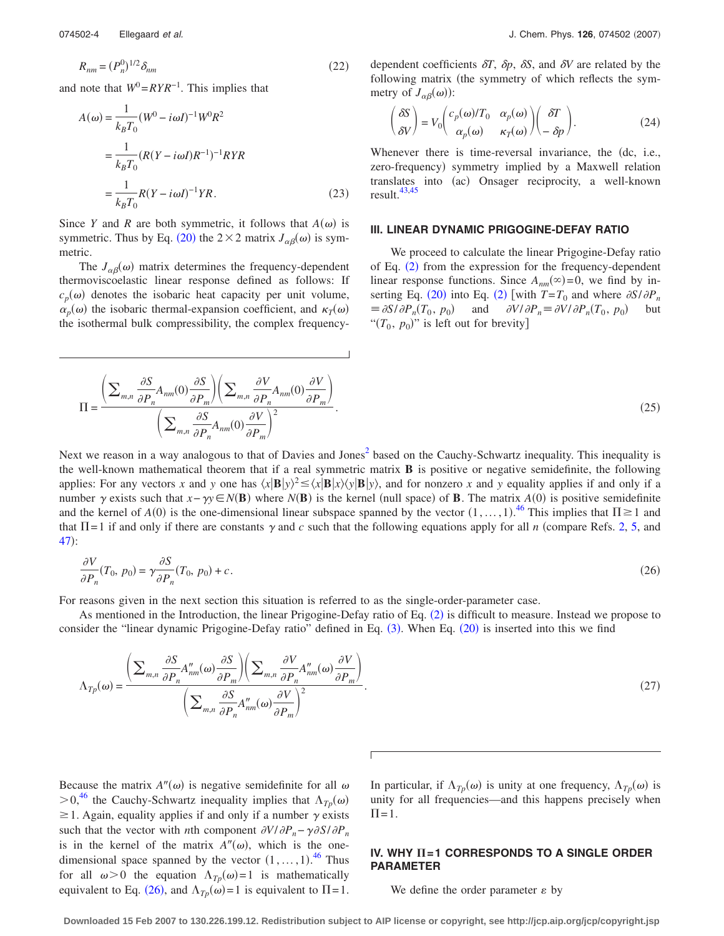$$
R_{nm} = (P_n^0)^{1/2} \delta_{nm} \tag{22}
$$

<span id="page-3-2"></span>and note that  $W^0 = RYR^{-1}$ . This implies that

$$
A(\omega) = \frac{1}{k_B T_0} (W^0 - i\omega I)^{-1} W^0 R^2
$$
  
= 
$$
\frac{1}{k_B T_0} (R(Y - i\omega I)R^{-1})^{-1} RYR
$$
  
= 
$$
\frac{1}{k_B T_0} R(Y - i\omega I)^{-1} YR.
$$
 (23)

Since *Y* and *R* are both symmetric, it follows that  $A(\omega)$  is symmetric. Thus by Eq. ([20](#page-2-9)) the  $2 \times 2$  matrix  $J_{\alpha\beta}(\omega)$  is symmetric.

The  $J_{\alpha\beta}(\omega)$  matrix determines the frequency-dependent thermoviscoelastic linear response defined as follows: If  $c_p(\omega)$  denotes the isobaric heat capacity per unit volume,  $\alpha_p(\omega)$  the isobaric thermal-expansion coefficient, and  $\kappa_T(\omega)$ the isothermal bulk compressibility, the complex frequency-

dependent coefficients  $\delta T$ ,  $\delta p$ ,  $\delta S$ , and  $\delta V$  are related by the following matrix (the symmetry of which reflects the symmetry of  $J_{\alpha\beta}(\omega)$ :

<span id="page-3-1"></span>
$$
\begin{pmatrix} \delta S \\ \delta V \end{pmatrix} = V_0 \begin{pmatrix} c_p(\omega)/T_0 & \alpha_p(\omega) \\ \alpha_p(\omega) & \kappa_T(\omega) \end{pmatrix} \begin{pmatrix} \delta T \\ -\delta p \end{pmatrix}.
$$
 (24)

Whenever there is time-reversal invariance, the (dc, i.e., zero-frequency) symmetry implied by a Maxwell relation translates into (ac) Onsager reciprocity, a well-known result.<sup>[43](#page-7-31)[,45](#page-7-33)</sup>

## **III. LINEAR DYNAMIC PRIGOGINE-DEFAY RATIO**

We proceed to calculate the linear Prigogine-Defay ratio of Eq.  $(2)$  $(2)$  $(2)$  from the expression for the frequency-dependent linear response functions. Since  $A_{nm}(\infty)=0$ , we find by in-serting Eq. ([20](#page-2-9)) into Eq. ([2](#page-1-0)) [with  $T = T_0$  and where  $\partial S/\partial P_n$  $\equiv \frac{\partial S}{\partial P_n(T_0, p_0)}$  and  $\frac{\partial V}{\partial P_n} \equiv \frac{\partial V}{\partial P_n(T_0, p_0)}$  but " $(T_0, p_0)$ " is left out for brevity]

$$
\Pi = \frac{\left(\sum_{m,n} \frac{\partial S}{\partial P_n} A_{nm}(0) \frac{\partial S}{\partial P_m}\right)\left(\sum_{m,n} \frac{\partial V}{\partial P_n} A_{nm}(0) \frac{\partial V}{\partial P_m}\right)}{\left(\sum_{m,n} \frac{\partial S}{\partial P_n} A_{nm}(0) \frac{\partial V}{\partial P_m}\right)^2}.
$$
\n(25)

Next we reason in a way analogous to that of Davies and Jones<sup>2</sup> based on the Cauchy-Schwartz inequality. This inequality is the well-known mathematical theorem that if a real symmetric matrix **B** is positive or negative semidefinite, the following applies: For any vectors x and y one has  $\langle x|B|y\rangle^2 \le \langle x|B|x\rangle\langle y|B|y\rangle$ , and for nonzero x and y equality applies if and only if a number  $\gamma$  exists such that  $x - \gamma y \in N(B)$  where  $N(B)$  is the kernel (null space) of **B**. The matrix  $A(0)$  is positive semidefinite and the kernel of  $A(0)$  is the one-dimensional linear subspace spanned by the vector  $(1,\ldots,1)$ .<sup>[46](#page-7-34)</sup> This implies that  $\Pi \ge 1$  and that  $\Pi = 1$  if and only if there are constants  $\gamma$  and  $c$  such that the following equations apply for all  $n$  (compare Refs. [2,](#page-7-6) [5,](#page-7-35) and  $47):$  $47):$ 

<span id="page-3-0"></span>
$$
\frac{\partial V}{\partial P_n}(T_0, p_0) = \gamma \frac{\partial S}{\partial P_n}(T_0, p_0) + c. \tag{26}
$$

For reasons given in the next section this situation is referred to as the single-order-parameter case.

As mentioned in the Introduction, the linear Prigogine-Defay ratio of Eq. ([2](#page-1-0)) is difficult to measure. Instead we propose to consider the "linear dynamic Prigogine-Defay ratio" defined in Eq. ([3](#page-1-3)). When Eq. ([20](#page-2-9)) is inserted into this we find

$$
\Lambda_{Tp}(\omega) = \frac{\left(\sum_{m,n} \frac{\partial S}{\partial P_n} A''_{nm}(\omega) \frac{\partial S}{\partial P_m}\right)\left(\sum_{m,n} \frac{\partial V}{\partial P_n} A''_{nm}(\omega) \frac{\partial V}{\partial P_m}\right)}{\left(\sum_{m,n} \frac{\partial S}{\partial P_n} A''_{nm}(\omega) \frac{\partial V}{\partial P_m}\right)^2}.
$$
\n(27)

Because the matrix  $A''(\omega)$  is negative semidefinite for all  $\omega$  $> 0$ <sup>46</sup>, the Cauchy-Schwartz inequality implies that  $\Lambda_{T_p}(\omega)$  $\geq$  1. Again, equality applies if and only if a number  $\gamma$  exists such that the vector with *n*th component  $\partial V/\partial P_n - \gamma \partial S/\partial P_n$ is in the kernel of the matrix  $A''(\omega)$ , which is the onedimensional space spanned by the vector  $(1, \ldots, 1)$ .<sup>[46](#page-7-34)</sup> Thus for all  $\omega > 0$  the equation  $\Lambda_{T_p}(\omega) = 1$  is mathematically equivalent to Eq. ([26](#page-3-0)), and  $\Lambda_{Tp}(\omega) = 1$  is equivalent to  $\Pi = 1$ .

In particular, if  $\Lambda_{T_p}(\omega)$  is unity at one frequency,  $\Lambda_{T_p}(\omega)$  is unity for all frequencies—and this happens precisely when  $\Pi=1$ .

# IV. WHY  $\Pi$ =1 CORRESPONDS TO A SINGLE ORDER **PARAMETER**

We define the order parameter  $\varepsilon$  by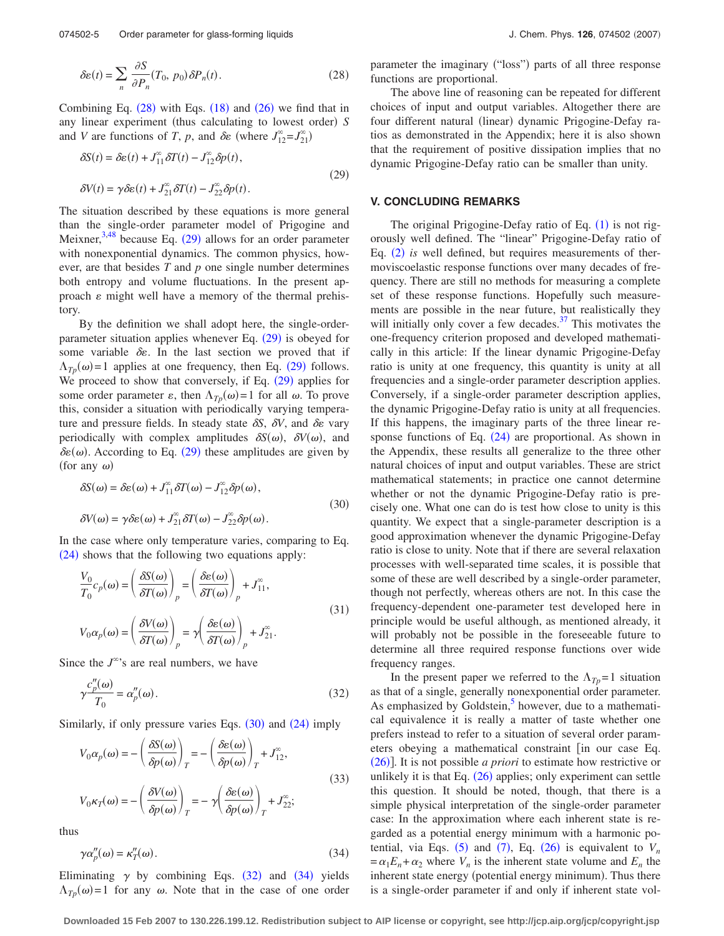<span id="page-4-0"></span>
$$
\delta \varepsilon(t) = \sum_{n} \frac{\partial S}{\partial P_n} (T_0, \, p_0) \, \delta P_n(t). \tag{28}
$$

Combining Eq.  $(28)$  $(28)$  $(28)$  with Eqs.  $(18)$  $(18)$  $(18)$  and  $(26)$  $(26)$  $(26)$  we find that in any linear experiment (thus calculating to lowest order) S and *V* are functions of *T*, *p*, and  $\delta \epsilon$  (where  $J_{12}^{\infty} = J_{21}^{\infty}$ )

<span id="page-4-1"></span>
$$
\delta S(t) = \delta \varepsilon(t) + J_{11}^{\infty} \delta T(t) - J_{12}^{\infty} \delta p(t),
$$
  
\n
$$
\delta V(t) = \gamma \delta \varepsilon(t) + J_{21}^{\infty} \delta T(t) - J_{22}^{\infty} \delta p(t).
$$
\n(29)

The situation described by these equations is more general than the single-order parameter model of Prigogine and Meixner,  $3,48$  $3,48$  because Eq. ([29](#page-4-1)) allows for an order parameter with nonexponential dynamics. The common physics, however, are that besides *T* and *p* one single number determines both entropy and volume fluctuations. In the present approach  $\varepsilon$  might well have a memory of the thermal prehistory.

By the definition we shall adopt here, the single-order-parameter situation applies whenever Eq. ([29](#page-4-1)) is obeyed for some variable  $\delta \varepsilon$ . In the last section we proved that if  $\Lambda_{T_p}(\omega)$  = 1 applies at one frequency, then Eq. ([29](#page-4-1)) follows. We proceed to show that conversely, if Eq. ([29](#page-4-1)) applies for some order parameter  $\varepsilon$ , then  $\Lambda_{T_p}(\omega) = 1$  for all  $\omega$ . To prove this, consider a situation with periodically varying temperature and pressure fields. In steady state  $\delta S$ ,  $\delta V$ , and  $\delta \epsilon$  vary periodically with complex amplitudes  $\delta S(\omega)$ ,  $\delta V(\omega)$ , and  $\delta \varepsilon(\omega)$ . According to Eq. ([29](#page-4-1)) these amplitudes are given by (for any  $\omega$ )

<span id="page-4-2"></span>
$$
\delta S(\omega) = \delta \varepsilon(\omega) + J_{11}^{\infty} \delta T(\omega) - J_{12}^{\infty} \delta p(\omega),
$$
  
\n
$$
\delta V(\omega) = \gamma \delta \varepsilon(\omega) + J_{21}^{\infty} \delta T(\omega) - J_{22}^{\infty} \delta p(\omega).
$$
\n(30)

In the case where only temperature varies, comparing to Eq. ([24](#page-3-1)) shows that the following two equations apply:

$$
\frac{V_0}{T_0}c_p(\omega) = \left(\frac{\delta S(\omega)}{\delta T(\omega)}\right)_p = \left(\frac{\delta \varepsilon(\omega)}{\delta T(\omega)}\right)_p + J_{11}^{\infty},
$$
\n
$$
V_0 \alpha_p(\omega) = \left(\frac{\delta V(\omega)}{\delta T(\omega)}\right)_p = \gamma \left(\frac{\delta \varepsilon(\omega)}{\delta T(\omega)}\right)_p + J_{21}^{\infty}.
$$
\n(31)

<span id="page-4-3"></span>Since the  $J^{\infty}$ 's are real numbers, we have

$$
\gamma \frac{c_p''(\omega)}{T_0} = \alpha_p''(\omega). \tag{32}
$$

Similarly, if only pressure varies Eqs. ([30](#page-4-2)) and ([24](#page-3-1)) imply

$$
V_0 \alpha_p(\omega) = -\left(\frac{\delta S(\omega)}{\delta p(\omega)}\right)_T = -\left(\frac{\delta \varepsilon(\omega)}{\delta p(\omega)}\right)_T + J_{12}^{\infty},
$$
  

$$
V_0 \kappa_T(\omega) = -\left(\frac{\delta V(\omega)}{\delta p(\omega)}\right)_T = -\gamma \left(\frac{\delta \varepsilon(\omega)}{\delta p(\omega)}\right)_T + J_{22}^{\infty};
$$
\n(33)

<span id="page-4-4"></span>thus

$$
\gamma \alpha_p''(\omega) = \kappa_T''(\omega). \tag{34}
$$

Eliminating  $\gamma$  by combining Eqs. ([32](#page-4-3)) and ([34](#page-4-4)) yields  $\Lambda_{T_p}(\omega) = 1$  for any  $\omega$ . Note that in the case of one order

parameter the imaginary ("loss") parts of all three response functions are proportional.

The above line of reasoning can be repeated for different choices of input and output variables. Altogether there are four different natural (linear) dynamic Prigogine-Defay ratios as demonstrated in the Appendix; here it is also shown that the requirement of positive dissipation implies that no dynamic Prigogine-Defay ratio can be smaller than unity.

### **V. CONCLUDING REMARKS**

The original Prigogine-Defay ratio of Eq.  $(1)$  $(1)$  $(1)$  is not rigorously well defined. The "linear" Prigogine-Defay ratio of Eq. ([2](#page-1-0)) is well defined, but requires measurements of thermoviscoelastic response functions over many decades of frequency. There are still no methods for measuring a complete set of these response functions. Hopefully such measurements are possible in the near future, but realistically they will initially only cover a few decades. $37$  This motivates the one-frequency criterion proposed and developed mathematically in this article: If the linear dynamic Prigogine-Defay ratio is unity at one frequency, this quantity is unity at all frequencies and a single-order parameter description applies. Conversely, if a single-order parameter description applies, the dynamic Prigogine-Defay ratio is unity at all frequencies. If this happens, the imaginary parts of the three linear response functions of Eq.  $(24)$  $(24)$  $(24)$  are proportional. As shown in the Appendix, these results all generalize to the three other natural choices of input and output variables. These are strict mathematical statements; in practice one cannot determine whether or not the dynamic Prigogine-Defay ratio is precisely one. What one can do is test how close to unity is this quantity. We expect that a single-parameter description is a good approximation whenever the dynamic Prigogine-Defay ratio is close to unity. Note that if there are several relaxation processes with well-separated time scales, it is possible that some of these are well described by a single-order parameter, though not perfectly, whereas others are not. In this case the frequency-dependent one-parameter test developed here in principle would be useful although, as mentioned already, it will probably not be possible in the foreseeable future to determine all three required response functions over wide frequency ranges.

In the present paper we referred to the  $\Lambda_{T_p} = 1$  situation as that of a single, generally nonexponential order parameter. As emphasized by Goldstein,<sup>5</sup> however, due to a mathematical equivalence it is really a matter of taste whether one prefers instead to refer to a situation of several order parameters obeying a mathematical constraint in our case Eq. ([26](#page-3-0))]. It is not possible *a priori* to estimate how restrictive or unlikely it is that Eq.  $(26)$  $(26)$  $(26)$  applies; only experiment can settle this question. It should be noted, though, that there is a simple physical interpretation of the single-order parameter case: In the approximation where each inherent state is regarded as a potential energy minimum with a harmonic potential, via Eqs.  $(5)$  $(5)$  $(5)$  and  $(7)$  $(7)$  $(7)$ , Eq.  $(26)$  $(26)$  $(26)$  is equivalent to  $V_n$  $=\alpha_1 E_n + \alpha_2$  where  $V_n$  is the inherent state volume and  $E_n$  the inherent state energy (potential energy minimum). Thus there is a single-order parameter if and only if inherent state vol-

**Downloaded 15 Feb 2007 to 130.226.199.12. Redistribution subject to AIP license or copyright, see http://jcp.aip.org/jcp/copyright.jsp**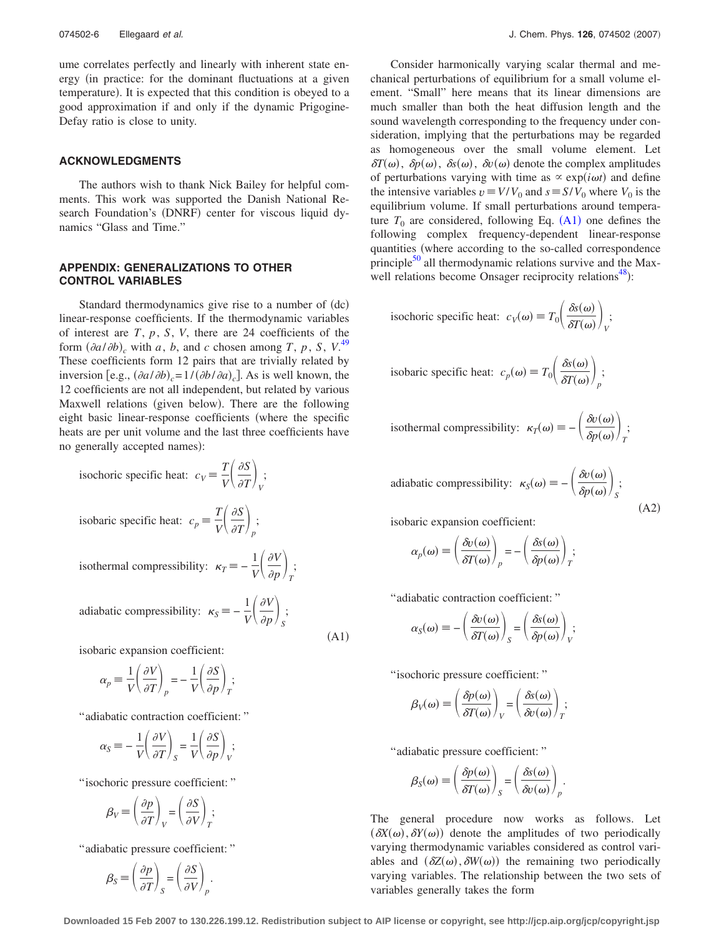ume correlates perfectly and linearly with inherent state energy (in practice: for the dominant fluctuations at a given temperature). It is expected that this condition is obeyed to a good approximation if and only if the dynamic Prigogine-Defay ratio is close to unity.

#### **ACKNOWLEDGMENTS**

The authors wish to thank Nick Bailey for helpful comments. This work was supported the Danish National Research Foundation's (DNRF) center for viscous liquid dynamics "Glass and Time."

## **APPENDIX: GENERALIZATIONS TO OTHER CONTROL VARIABLES**

Standard thermodynamics give rise to a number of (dc) linear-response coefficients. If the thermodynamic variables of interest are *T*, *p*, *S*, *V*, there are 24 coefficients of the form  $\left(\frac{\partial a}{\partial b}\right)_c$  with *a*, *b*, and *c* chosen among *T*, *p*, *S*, *V*.<sup>[49](#page-7-38)</sup> These coefficients form 12 pairs that are trivially related by inversion [e.g.,  $\left(\frac{\partial a}{\partial b}\right)_c = 1/(\frac{\partial b}{\partial a})_c$ ]. As is well known, the 12 coefficients are not all independent, but related by various Maxwell relations (given below). There are the following eight basic linear-response coefficients (where the specific heats are per unit volume and the last three coefficients have no generally accepted names):

;

;

<span id="page-5-0"></span>isochoric specific heat:  $c_V \equiv \frac{T}{V} \left( \frac{\partial S}{\partial T} \right)_V$ 

isobaric specific heat:  $c_p \equiv \frac{T}{V} \left( \frac{\partial S}{\partial T} \right)_p$ 

isothermal compressibility:  $\kappa_T = -\frac{1}{V} \left( \frac{\partial V}{\partial p} \right)_T$ ;

adiabatic compressibility:  $\kappa_S = -\frac{1}{V} \left( \frac{\partial V}{\partial p} \right)_S$ ;

isobaric expansion coefficient:

$$
\alpha_p \equiv \frac{1}{V} \left( \frac{\partial V}{\partial T} \right)_p = - \, \frac{1}{V} \left( \frac{\partial S}{\partial p} \right)_T;
$$

"adiabatic contraction coefficient: "

$$
\alpha_S \equiv -\,\frac{1}{V}\!\!\left(\frac{\partial V}{\partial T}\right)_S = \frac{1}{V}\!\!\left(\frac{\partial S}{\partial p}\right)_V;
$$

"isochoric pressure coefficient: "

$$
\beta_V \!\equiv\! \left(\frac{\partial p}{\partial T}\right)_V \!\!=\! \left(\frac{\partial S}{\partial V}\right)_T \!\! ;
$$

"adiabatic pressure coefficient: "

$$
\beta_S \equiv \left(\frac{\partial p}{\partial T}\right)_S = \left(\frac{\partial S}{\partial V}\right)_p.
$$

Consider harmonically varying scalar thermal and mechanical perturbations of equilibrium for a small volume element. "Small" here means that its linear dimensions are much smaller than both the heat diffusion length and the sound wavelength corresponding to the frequency under consideration, implying that the perturbations may be regarded as homogeneous over the small volume element. Let  $\delta T(\omega)$ ,  $\delta p(\omega)$ ,  $\delta y(\omega)$  denote the complex amplitudes of perturbations varying with time as  $\propto$  exp(*i* $\omega t$ ) and define the intensive variables  $v \equiv V/V_0$  and  $s \equiv S/V_0$  where  $V_0$  is the equilibrium volume. If small perturbations around temperature  $T_0$  are considered, following Eq.  $(A1)$  $(A1)$  $(A1)$  one defines the following complex frequency-dependent linear-response quantities (where according to the so-called correspondence principle $50$  all thermodynamic relations survive and the Maxwell relations become Onsager reciprocity relations<sup>48</sup>):

isochoric specific heat: 
$$
c_V(\omega) \equiv T_0 \left( \frac{\delta s(\omega)}{\delta T(\omega)} \right)_V
$$
;

isobaric specific heat: 
$$
c_p(\omega) \equiv T_0 \left( \frac{\delta s(\omega)}{\delta T(\omega)} \right)_p
$$
;

isothermal compressibility:  $\kappa_T(\omega) \equiv -\left(\frac{\delta v(\omega)}{\delta p(\omega)}\right)_T$ ;

adiabatic compressibility: 
$$
\kappa_S(\omega) \equiv -\left(\frac{\delta v(\omega)}{\delta p(\omega)}\right)_S;
$$

 $(A2)$ 

isobaric expansion coefficient:

$$
\alpha_p(\omega) \equiv \left(\frac{\delta v(\omega)}{\delta T(\omega)}\right)_p = -\left(\frac{\delta s(\omega)}{\delta p(\omega)}\right)_T;
$$

"adiabatic contraction coefficient: "

$$
\alpha_S(\omega) \equiv -\left(\frac{\delta v(\omega)}{\delta T(\omega)}\right)_S = \left(\frac{\delta s(\omega)}{\delta p(\omega)}\right)_V;
$$

"isochoric pressure coefficient: "

$$
\beta_V(\omega) \equiv \left(\frac{\delta p(\omega)}{\delta T(\omega)}\right)_V = \left(\frac{\delta s(\omega)}{\delta v(\omega)}\right)_T;
$$

"adiabatic pressure coefficient: "

$$
\beta_S(\omega) \equiv \left(\frac{\delta p(\omega)}{\delta T(\omega)}\right)_S = \left(\frac{\delta s(\omega)}{\delta v(\omega)}\right)_p
$$

The general procedure now works as follows. Let  $(\delta X(\omega), \delta Y(\omega))$  denote the amplitudes of two periodically varying thermodynamic variables considered as control variables and  $(\delta Z(\omega), \delta W(\omega))$  the remaining two periodically varying variables. The relationship between the two sets of variables generally takes the form

.

**Downloaded 15 Feb 2007 to 130.226.199.12. Redistribution subject to AIP license or copyright, see http://jcp.aip.org/jcp/copyright.jsp**

 $(A1)$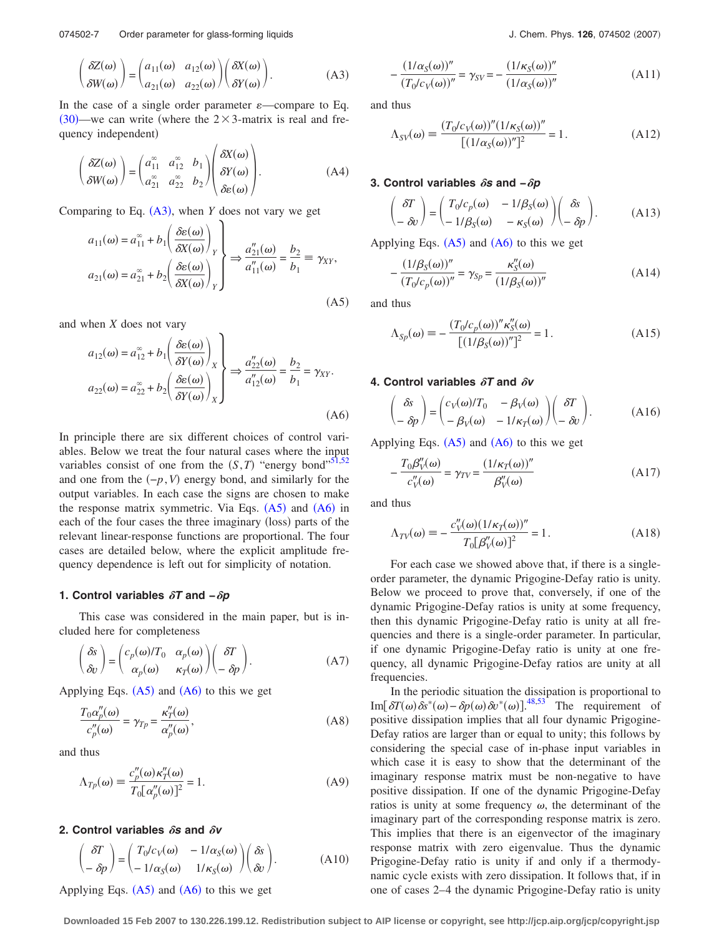<span id="page-6-0"></span>074502-7 Order parameter for glass-forming liquids

$$
\begin{pmatrix}\n\delta Z(\omega) \\
\delta W(\omega)\n\end{pmatrix} = \begin{pmatrix}\na_{11}(\omega) & a_{12}(\omega) \\
a_{21}(\omega) & a_{22}(\omega)\n\end{pmatrix} \begin{pmatrix}\n\delta X(\omega) \\
\delta Y(\omega)\n\end{pmatrix} .
$$
\n(A3)

In the case of a single order parameter  $\varepsilon$ —compare to Eq. ([30](#page-4-2))—we can write (where the  $2 \times 3$ -matrix is real and frequency independent)

$$
\begin{pmatrix}\n\delta Z(\omega) \\
\delta W(\omega)\n\end{pmatrix} = \begin{pmatrix}\na_{11}^{\infty} & a_{12}^{\infty} & b_1 \\
a_{21}^{\infty} & a_{22}^{\infty} & b_2\n\end{pmatrix} \begin{pmatrix}\n\delta X(\omega) \\
\delta Y(\omega) \\
\delta \epsilon(\omega)\n\end{pmatrix} .
$$
\n(A4)

<span id="page-6-1"></span>Comparing to Eq.  $(A3)$  $(A3)$  $(A3)$ , when *Y* does not vary we get

$$
a_{11}(\omega) = a_{11}^{\infty} + b_1 \left( \frac{\delta \varepsilon(\omega)}{\delta X(\omega)} \right)_Y
$$
  
\n
$$
a_{21}(\omega) = a_{21}^{\infty} + b_2 \left( \frac{\delta \varepsilon(\omega)}{\delta X(\omega)} \right)_Y
$$
  
\n
$$
\Rightarrow \frac{a_{21}''(\omega)}{a_{11}''(\omega)} = \frac{b_2}{b_1} \equiv \gamma_{XY},
$$
  
\n(A5)

<span id="page-6-2"></span>and when *X* does not vary

$$
a_{12}(\omega) = a_{12}^{\infty} + b_1 \left( \frac{\partial \varepsilon(\omega)}{\partial Y(\omega)} \right)_X
$$
  
\n
$$
a_{22}(\omega) = a_{22}^{\infty} + b_2 \left( \frac{\partial \varepsilon(\omega)}{\partial Y(\omega)} \right)_X
$$
  
\n
$$
\Rightarrow \frac{a_{22}''(\omega)}{a_{12}''(\omega)} = \frac{b_2}{b_1} = \gamma_{XY}.
$$
  
\n(A6)

In principle there are six different choices of control variables. Below we treat the four natural cases where the input variables consist of one from the  $(S,T)$  "energy bond"<sup>51,[52](#page-7-41)</sup> and one from the  $(-p, V)$  energy bond, and similarly for the output variables. In each case the signs are chosen to make the response matrix symmetric. Via Eqs.  $(A5)$  $(A5)$  $(A5)$  and  $(A6)$  $(A6)$  $(A6)$  in each of the four cases the three imaginary (loss) parts of the relevant linear-response functions are proportional. The four cases are detailed below, where the explicit amplitude frequency dependence is left out for simplicity of notation.

#### **1. Control variables**  $\delta$ **T and −** $\delta$ **p**

This case was considered in the main paper, but is included here for completeness

$$
\begin{pmatrix} \delta s \\ \delta v \end{pmatrix} = \begin{pmatrix} c_p(\omega)/T_0 & \alpha_p(\omega) \\ \alpha_p(\omega) & \kappa_T(\omega) \end{pmatrix} \begin{pmatrix} \delta T \\ -\delta p \end{pmatrix}.
$$
 (A7)

Applying Eqs.  $(A5)$  $(A5)$  $(A5)$  and  $(A6)$  $(A6)$  $(A6)$  to this we get

$$
\frac{T_0 \alpha_p''(\omega)}{c_p''(\omega)} = \gamma_{Tp} = \frac{\kappa_T''(\omega)}{\alpha_p''(\omega)},
$$
\n(A8)

and thus

$$
\Lambda_{Tp}(\omega) \equiv \frac{c_p''(\omega)\kappa_T'(\omega)}{T_0[\alpha_p''(\omega)]^2} = 1.
$$
\n(A9)

#### **2. Control variables**  $\delta$ **s** and  $\delta$ **v**

$$
\begin{pmatrix} \delta T \\ -\delta p \end{pmatrix} = \begin{pmatrix} T_0/c_V(\omega) & -1/\alpha_S(\omega) \\ -1/\alpha_S(\omega) & 1/\kappa_S(\omega) \end{pmatrix} \begin{pmatrix} \delta s \\ \delta v \end{pmatrix}.
$$
 (A10)

Applying Eqs.  $(A5)$  $(A5)$  $(A5)$  and  $(A6)$  $(A6)$  $(A6)$  to this we get

$$
-\frac{(1/\alpha_S(\omega))^{\prime\prime}}{(T_0/c_V(\omega))^{\prime\prime}} = \gamma_{SV} = -\frac{(1/\kappa_S(\omega))^{\prime\prime}}{(1/\alpha_S(\omega))^{\prime\prime}}\tag{A11}
$$

and thus

$$
\Lambda_{SV}(\omega) \equiv \frac{(T_0/c_V(\omega))'' (1/\kappa_S(\omega))''}{[(1/\alpha_S(\omega))^{"}]^2} = 1.
$$
\n(A12)

#### **3. Control variables**  $\delta$ **s** and − $\delta$ **p**

$$
\begin{pmatrix} \delta T \\ -\delta v \end{pmatrix} = \begin{pmatrix} T_0/c_p(\omega) & -1/\beta_S(\omega) \\ -1/\beta_S(\omega) & -\kappa_S(\omega) \end{pmatrix} \begin{pmatrix} \delta s \\ -\delta p \end{pmatrix}.
$$
 (A13)

Applying Eqs.  $(A5)$  $(A5)$  $(A5)$  and  $(A6)$  $(A6)$  $(A6)$  to this we get

$$
-\frac{(1/\beta_S(\omega))^{\prime\prime}}{(T_0/c_p(\omega))^{\prime\prime}} = \gamma_{Sp} = \frac{\kappa_S^{\prime\prime}(\omega)}{(1/\beta_S(\omega))^{\prime\prime}}
$$
(A14)

and thus

$$
\Lambda_{Sp}(\omega) \equiv -\frac{(T_0/c_p(\omega))^n \kappa_S^{\nu}(\omega)}{[(1/\beta_S(\omega))^n]^2} = 1.
$$
\n(A15)

#### **4. Control variables**  $\delta T$  **and**  $\delta V$

$$
\begin{pmatrix}\n\delta s \\
-\delta p\n\end{pmatrix} = \begin{pmatrix}\nc_V(\omega)/T_0 & -\beta_V(\omega) \\
-\beta_V(\omega) & -1/\kappa_T(\omega)\n\end{pmatrix} \begin{pmatrix}\n\delta T \\
-\delta v\n\end{pmatrix}.
$$
\n(A16)

Applying Eqs.  $(A5)$  $(A5)$  $(A5)$  and  $(A6)$  $(A6)$  $(A6)$  to this we get

$$
-\frac{T_0 \beta_V''(\omega)}{c_V''(\omega)} = \gamma_{TV} = \frac{(1/\kappa_T(\omega))''}{\beta_V''(\omega)}\tag{A17}
$$

and thus

$$
\Lambda_{TV}(\omega) = -\frac{c_V''(\omega)(1/\kappa_T(\omega))''}{T_0[\beta_V''(\omega)]^2} = 1.
$$
\n(A18)

For each case we showed above that, if there is a singleorder parameter, the dynamic Prigogine-Defay ratio is unity. Below we proceed to prove that, conversely, if one of the dynamic Prigogine-Defay ratios is unity at some frequency, then this dynamic Prigogine-Defay ratio is unity at all frequencies and there is a single-order parameter. In particular, if one dynamic Prigogine-Defay ratio is unity at one frequency, all dynamic Prigogine-Defay ratios are unity at all frequencies.

In the periodic situation the dissipation is proportional to Im[ $\delta T(\omega) \delta s^*(\omega) - \delta p(\omega) \delta v^*(\omega)$ ].<sup>[48,](#page-7-37)[53](#page-7-42)</sup> The requirement of positive dissipation implies that all four dynamic Prigogine-Defay ratios are larger than or equal to unity; this follows by considering the special case of in-phase input variables in which case it is easy to show that the determinant of the imaginary response matrix must be non-negative to have positive dissipation. If one of the dynamic Prigogine-Defay ratios is unity at some frequency  $\omega$ , the determinant of the imaginary part of the corresponding response matrix is zero. This implies that there is an eigenvector of the imaginary response matrix with zero eigenvalue. Thus the dynamic Prigogine-Defay ratio is unity if and only if a thermodynamic cycle exists with zero dissipation. It follows that, if in one of cases 2–4 the dynamic Prigogine-Defay ratio is unity

**Downloaded 15 Feb 2007 to 130.226.199.12. Redistribution subject to AIP license or copyright, see http://jcp.aip.org/jcp/copyright.jsp**